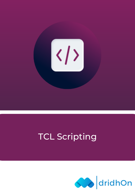

# TCL Scripting

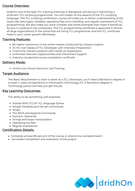## Course Overview:

dridhOn one of the best TCL training institutes in Bangalore will aid you in becoming a proficient TCL scripting programmer. You will master all the aspects of the TCL scripting language. This TCL scripting certification course will make you in better understanding of the topics like data types, variables, operating files, error handling, and regular expressions of TCL programming. We also make you solve complex real-world examples that make it beneficial for you in working in top companies. This TCL programming certificate is approved in almost all large organizations in the world that are hiring TCL programmer and this TCL certificate helps in your career growth effortlessly.

# **Training Features:**

- 8X higher interaction in live online classes conducted by industry experts
- 32 Hrs. live Classes of TCL Developer with Interview Preparation
- 3 real-time industry projects with hands-on preparation
- Unlimited Interview Opportunities with Placement Support
- Industry-recognized course completion certificate

## Delivery Mode:

Online Live Virtual Instructor Led Training

#### Target Audiance:

The Basic Requirement to start a career as a TCL Developer, you'll need a Bachelor's degree or at least 1+ years of experience in Information Technology (IT). A Bachelor's degree in Technology justice will help you get the job.

#### Key Learning Outcomes:

The ability to do something well expertise.

- Started With TCLSH TCL language Syntax
- Simple Variables and the set Commands
- Arrays
- The INCR and Append Commands
- Numeric Operands
- Strings and loops manipulation
- Operating the files
- Regular expressions

## Certification Details:

- Complete at least 85 percent of the course or attend one complete batch
- Successful completion and evaluation of the project

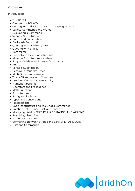#### Curriculum

#### Introduction:

- The TCLSH
- Overview of TCL & Tk
- Getting Started With TCLSH TCL language Syntax
- Scripts, Commands and Words
- Evaluating a Command
- Variable Substitution
- Command Substitution
- Backslash Substitution
- Quoting with Double-Quotes
- Quoting with Braces
- Comments
- Normal and Exceptional Returns
- More on Substitutions Variables
- Simple Variables and the set Commands
- Arrays
- Variable Substitution
- Removing Variable: Unset
- Multi-Dimensional Arrays
- The INCR and Append Commands
- Preview of other Variable Facility
- Numeric Operands
- Operators and Precedence
- Math Functions
- Substitutions
- String Manipulation
- Types and Conversions
- Precision lists
- Basic list structure and the Lindex Commands
- Creating Lists: Concat, List, and length
- Modifying ListsLINSERT, REPLACE, RANGE, AND APPEND
- Searching Lists: LSearch
- Sorting Lists: LSORT
- Converting Between Strings and Lists: SPLIT AND JOIN
- Lists and Commands

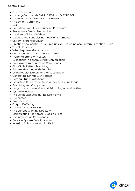Control Flow:

- The IF Command
- Looping Commands: WHILE, FOR, AND FOREACH
- Loop Control: BREAK AND CONTINUE
- The Switch Command
- $\bullet$  Fval
- Executing From Files: Source 68 Procedures
- Procedures Basics: Proc and return
- Local and Global Variables
- Defaults and Variables numbers of arguments
- Call by Reference: Upvar
- Creating new Control Structures: uplevel Searching of a Pattern Exception Errors
- The SH Process
- What happens after an error
- Generating Errors From TCL SCRIPTS
- Trapping Errors with catch
- Exceptions in general String Manipulation
- Two-Way Communication Commands
- Glob-Style Pattern Matching
- Pattern Matching with Regular
- Using regular Expressions for substitution
- Generating Strings with Format
- Parsing Strings with Scan
- Extracting Characters: Strings index and string length
- Searching and Comparison
- Length, case Conversion, and Trimming accessible files
- System variables
- The Script Executed during Login time
- File names
- Basic File I/O
- Output Buffering
- Random Access to Files
- The current Working Directory
- Manipulating File names: Glob and Files
- File Information Commands
- Errors in System Calls Processes
- Invoking Subprocesses with EXEC